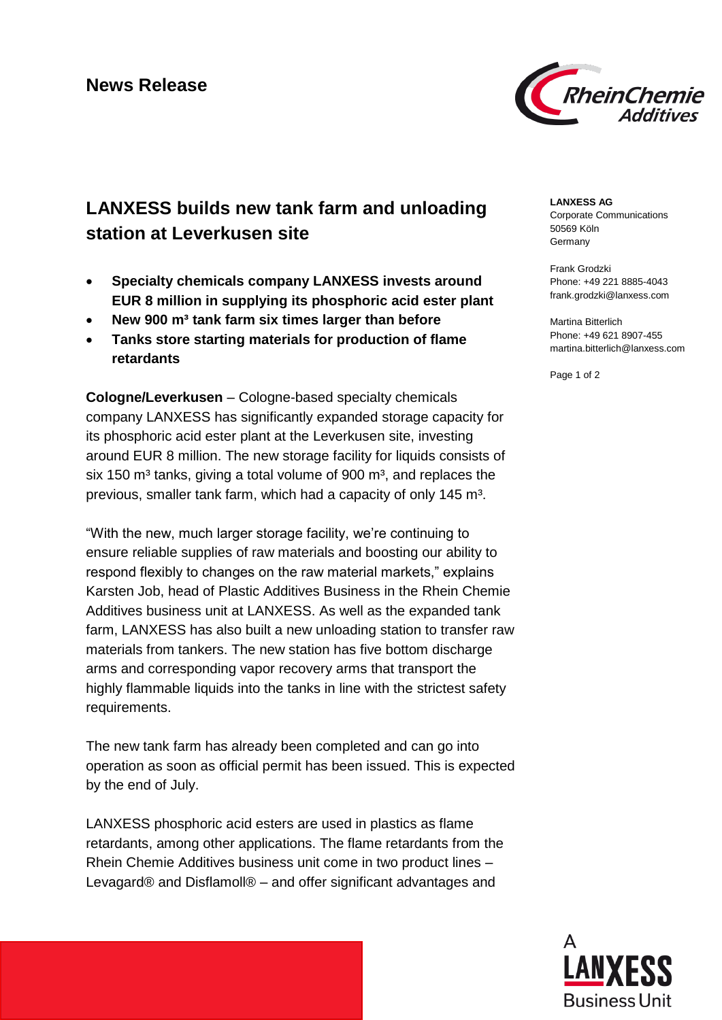

# **LANXESS builds new tank farm and unloading station at Leverkusen site**

- **Specialty chemicals company LANXESS invests around EUR 8 million in supplying its phosphoric acid ester plant**
- **New 900 m³ tank farm six times larger than before**
- **Tanks store starting materials for production of flame retardants**

**Cologne/Leverkusen** – Cologne-based specialty chemicals company LANXESS has significantly expanded storage capacity for its phosphoric acid ester plant at the Leverkusen site, investing around EUR 8 million. The new storage facility for liquids consists of six 150  $\text{m}^3$  tanks, giving a total volume of 900  $\text{m}^3$ , and replaces the previous, smaller tank farm, which had a capacity of only 145 m<sup>3</sup>.

"With the new, much larger storage facility, we're continuing to ensure reliable supplies of raw materials and boosting our ability to respond flexibly to changes on the raw material markets," explains Karsten Job, head of Plastic Additives Business in the Rhein Chemie Additives business unit at LANXESS. As well as the expanded tank farm, LANXESS has also built a new unloading station to transfer raw materials from tankers. The new station has five bottom discharge arms and corresponding vapor recovery arms that transport the highly flammable liquids into the tanks in line with the strictest safety requirements.

The new tank farm has already been completed and can go into operation as soon as official permit has been issued. This is expected by the end of July.

LANXESS phosphoric acid esters are used in plastics as flame retardants, among other applications. The flame retardants from the Rhein Chemie Additives business unit come in two product lines – Levagard® and Disflamoll® – and offer significant advantages and

### **LANXESS AG**

Corporate Communications 50569 Köln Germany

Frank Grodzki Phone: +49 221 8885-4043 frank.grodzki@lanxess.com

Martina Bitterlich Phone: +49 621 8907-455 martina.bitterlich@lanxess.com

Page 1 of 2